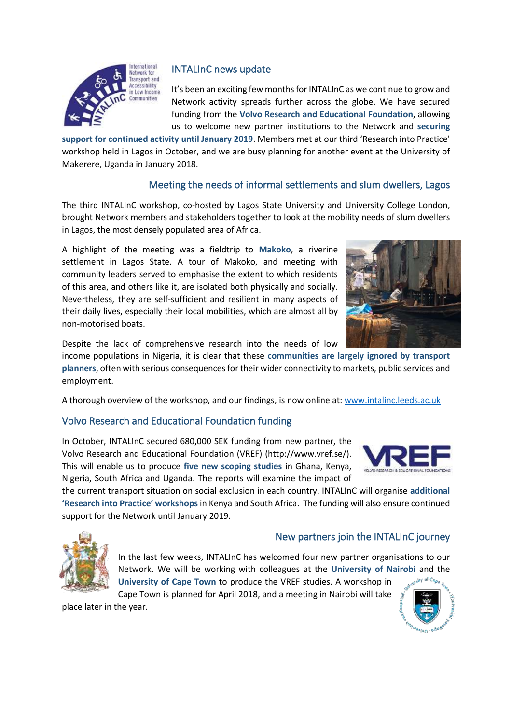

# INTALInC news update

It's been an exciting few months for INTALInC as we continue to grow and Network activity spreads further across the globe. We have secured funding from the **Volvo Research and Educational Foundation**, allowing us to welcome new partner institutions to the Network and **securing** 

**support for continued activity until January 2019**. Members met at our third 'Research into Practice' workshop held in Lagos in October, and we are busy planning for another event at the University of Makerere, Uganda in January 2018.

# Meeting the needs of informal settlements and slum dwellers, Lagos

The third INTALInC workshop, co-hosted by Lagos State University and University College London, brought Network members and stakeholders together to look at the mobility needs of slum dwellers in Lagos, the most densely populated area of Africa.

A highlight of the meeting was a fieldtrip to **Makoko**, a riverine settlement in Lagos State. A tour of Makoko, and meeting with community leaders served to emphasise the extent to which residents of this area, and others like it, are isolated both physically and socially. Nevertheless, they are self-sufficient and resilient in many aspects of their daily lives, especially their local mobilities, which are almost all by non-motorised boats.



Despite the lack of comprehensive research into the needs of low

income populations in Nigeria, it is clear that these **communities are largely ignored by transport planners**, often with serious consequences for their wider connectivity to markets, public services and employment.

A thorough overview of the workshop, and our findings, is now online at[: www.intalinc.leeds.ac.uk](http://www.intalinc.leeds.ac.uk/)

### Volvo Research and Educational Foundation funding

In October, INTALInC secured 680,000 SEK funding from new partner, the Volvo Research and Educational Foundation (VREF) (http://www.vref.se/). This will enable us to produce **five new scoping studies** in Ghana, Kenya, Nigeria, South Africa and Uganda. The reports will examine the impact of



the current transport situation on social exclusion in each country. INTALInC will organise **additional 'Research into Practice' workshops** in Kenya and South Africa. The funding will also ensure continued support for the Network until January 2019.



#### New partners join the INTALInC journey

In the last few weeks, INTALInC has welcomed four new partner organisations to our Network. We will be working with colleagues at the **University of Nairobi** and the **University of Cape Town** to produce the VREF studies. A workshop in

Cape Town is planned for April 2018, and a meeting in Nairobi will take place later in the year.